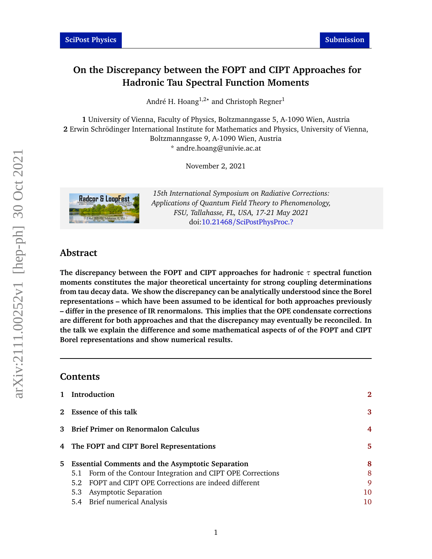# **On the Discrepancy between the FOPT and CIPT Approaches for Hadronic Tau Spectral Function Moments**

André H. Hoang<sup>1,2</sup>\* and Christoph Regner<sup>1</sup>

**1** University of Vienna, Faculty of Physics, Boltzmanngasse 5, A-1090 Wien, Austria **2** Erwin Schrödinger International Institute for Mathematics and Physics, University of Vienna, Boltzmanngasse 9, A-1090 Wien, Austria \* andre.hoang@univie.ac.at

November 2, 2021



*15th International Symposium on Radiative Corrections: Applications of Quantum Field Theory to Phenomenology, FSU, Tallahasse, FL, USA, 17-21 May 2021* doi:10.21468/[SciPostPhysProc.?](https://doi.org/10.21468/SciPostPhysProc.?)

# **Abstract**

**The discrepancy between the FOPT and CIPT approaches for hadronic** *τ* **spectral function moments constitutes the major theoretical uncertainty for strong coupling determinations from tau decay data. We show the discrepancy can be analytically understood since the Borel representations – which have been assumed to be identical for both approaches previously – differ in the presence of IR renormalons. This implies that the OPE condensate corrections are different for both approaches and that the discrepancy may eventually be reconciled. In the talk we explain the difference and some mathematical aspects of of the FOPT and CIPT Borel representations and show numerical results.**

# **Contents**

| 1 Introduction                                               | $\mathbf{2}$ |
|--------------------------------------------------------------|--------------|
| 2 Essence of this talk                                       | 3            |
| 3 Brief Primer on Renormalon Calculus                        | 4            |
| 4 The FOPT and CIPT Borel Representations                    | 5.           |
| 5 Essential Comments and the Asymptotic Separation           | 8            |
| 5.1 Form of the Contour Integration and CIPT OPE Corrections | 8            |
| 5.2 FOPT and CIPT OPE Corrections are indeed different       | 9            |
| 5.3 Asymptotic Separation                                    | 10           |
| 5.4 Brief numerical Analysis                                 | 10           |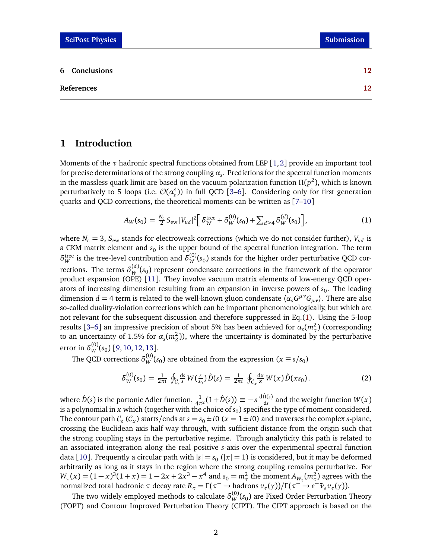# <span id="page-1-0"></span>**1 Introduction**

Moments of the *τ* hadronic spectral functions obtained from LEP [[1,](#page-11-1)[2](#page-11-2)] provide an important tool for precise determinations of the strong coupling  $\alpha_{s}.$  Predictions for the spectral function moments in the massless quark limit are based on the vacuum polarization function *Π*(*p* 2 ), which is known perturbatively to 5 loops (i.e.  $\mathcal{O}(\alpha_s^4)$ ) in full QCD [[3](#page-11-3)[–6](#page-12-0)]. Considering only for first generation quarks and QCD corrections, the theoretical moments can be written as [[7–](#page-12-1)[10](#page-12-2)]

<span id="page-1-1"></span>
$$
A_W(s_0) = \frac{N_c}{2} S_{ew} |V_{ud}|^2 \left[ \delta_W^{\text{tree}} + \delta_W^{(0)}(s_0) + \sum_{d \ge 4} \delta_W^{(d)}(s_0) \right],\tag{1}
$$

where  $N_c = 3$ ,  $S_{ew}$  stands for electroweak corrections (which we do not consider further),  $V_{ud}$  is a CKM matrix element and  $s_0$  is the upper bound of the spectral function integration. The term  $\delta_W^{\text{tree}}$  is the tree-level contribution and  $\delta_W^{(0)}(s_0)$  stands for the higher order perturbative QCD corrections. The terms  $\delta_W^{(d)}(s_0)$  represent condensate corrections in the framework of the operator product expansion (OPE) [[11](#page-12-3)]. They involve vacuum matrix elements of low-energy QCD operators of increasing dimension resulting from an expansion in inverse powers of  $s_0$ . The leading dimension *d* = 4 term is related to the well-known gluon condensate  $\langle \alpha_s G^{\mu\nu} G_{\mu\nu} \rangle$ . There are also so-called duality-violation corrections which can be important phenomenologically, but which are not relevant for the subsequent discussion and therefore suppressed in Eq.[\(1\)](#page-1-1). Using the 5-loop results [[3–](#page-11-3)[6](#page-12-0)] an impressive precision of about 5% has been achieved for  $\alpha_s(m_\tau^2)$  (corresponding to an uncertainty of 1.5% for  $\alpha_s(m_Z^2)$ ), where the uncertainty is dominated by the perturbative error in  $\delta_W^{(0)}(s_0)$  [[9,](#page-12-4) [10,](#page-12-2) [12,](#page-12-5) [13](#page-12-6)].

The QCD corrections  $\delta_W^{(0)}(s_0)$  are obtained from the expression ( $x \equiv s/s_0$ )

<span id="page-1-2"></span>
$$
\delta_{W}^{(0)}(s_{0}) = \frac{1}{2\pi i} \oint_{C_{s}} \frac{ds}{s} W(\frac{s}{s_{0}}) \hat{D}(s) = \frac{1}{2\pi i} \oint_{C_{x}} \frac{dx}{s} W(x) \hat{D}(xs_{0}). \tag{2}
$$

where  $\hat{D}(s)$  is the partonic Adler function,  $\frac{1}{4\pi^2}(1+\hat{D}(s))\equiv -s\frac{d\hat{\Pi}(s)}{ds}$  and the weight function  $W(x)$ is a polynomial in  $x$  which (together with the choice of  $s_0$ ) specifies the type of moment considered. The contour path  $C_s$  ( $C_x$ ) starts/ends at  $s = s_0 \pm i0$  ( $x = 1 \pm i0$ ) and traverses the complex *s*-plane, crossing the Euclidean axis half way through, with sufficient distance from the origin such that the strong coupling stays in the perturbative regime. Through analyticity this path is related to an associated integration along the real positive *s*-axis over the experimental spectral function data [[10](#page-12-2)]. Frequently a circular path with  $|s| = s_0$  ( $|x| = 1$ ) is considered, but it may be deformed arbitrarily as long as it stays in the region where the strong coupling remains perturbative. For  $W_{\tau}(x) = (1 - x)^3 (1 + x) = 1 - 2x + 2x^3 - x^4$  and  $s_0 = m_{\tau}^2$  the moment  $A_{W_{\tau}}(m_{\tau}^2)$  agrees with the  $\lim_{\tau \to 0} \frac{\partial^2 u}{\partial x^2}$  *π* (*τ* από *τ* decay rate  $R_\tau = \Gamma(\tau^- \to \text{hadrons} \nu_\tau(\gamma))/\Gamma(\tau^- \to e^- \bar{\nu}_e \nu_\tau(\gamma)).$ 

The two widely employed methods to calculate  $\delta^{(0)}_W(s_0)$  are Fixed Order Perturbation Theory (FOPT) and Contour Improved Perturbation Theory (CIPT). The CIPT approach is based on the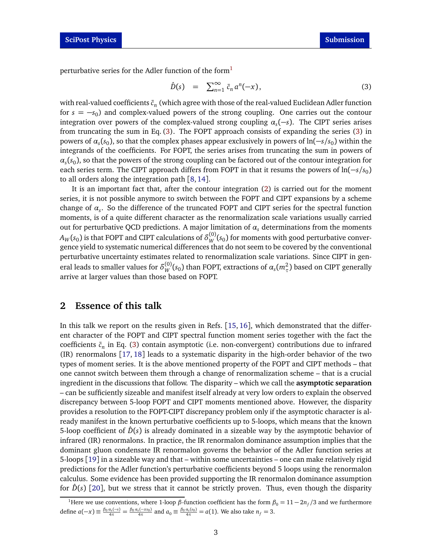perturbative series for the Adler function of the form<sup>[1](#page-2-1)</sup>

<span id="page-2-2"></span>
$$
\hat{D}(s) = \sum_{n=1}^{\infty} \bar{c}_n a^n(-x), \qquad (3)
$$

with real-valued coefficients  $\bar{c}_n$  (which agree with those of the real-valued Euclidean Adler function for  $s = -s_0$ ) and complex-valued powers of the strong coupling. One carries out the contour integration over powers of the complex-valued strong coupling *α<sup>s</sup>* (−*s*). The CIPT series arises from truncating the sum in Eq. [\(3\)](#page-2-2). The FOPT approach consists of expanding the series [\(3\)](#page-2-2) in powers of *α<sup>s</sup>* (*s*<sup>0</sup> ), so that the complex phases appear exclusively in powers of ln(−*s/s*<sup>0</sup> ) within the integrands of the coefficients. For FOPT, the series arises from truncating the sum in powers of  $\alpha_s(s_0)$ , so that the powers of the strong coupling can be factored out of the contour integration for each series term. The CIPT approach differs from FOPT in that it resums the powers of ln(−*s/s*<sub>0</sub>) to all orders along the integration path [[8,](#page-12-7)[14](#page-12-8)].

It is an important fact that, after the contour integration [\(2\)](#page-1-2) is carried out for the moment series, it is not possible anymore to switch between the FOPT and CIPT expansions by a scheme change of *α<sup>s</sup>* . So the difference of the truncated FOPT and CIPT series for the spectral function moments, is of a quite different character as the renormalization scale variations usually carried out for perturbative QCD predictions. A major limitation of *α<sup>s</sup>* determinations from the moments  $A_W(s_0)$  is that FOPT and CIPT calculations of  $\delta^{(0)}_W(s_0)$  for moments with good perturbative convergence yield to systematic numerical differences that do not seem to be covered by the conventional perturbative uncertainty estimates related to renormalization scale variations. Since CIPT in general leads to smaller values for  $\delta^{(0)}_W(s_0)$  than FOPT, extractions of  $\alpha_s(m_\tau^2)$  based on CIPT generally arrive at larger values than those based on FOPT.

## <span id="page-2-0"></span>**2 Essence of this talk**

In this talk we report on the results given in Refs. [[15,](#page-12-9) [16](#page-12-10)], which demonstrated that the different character of the FOPT and CIPT spectral function moment series together with the fact the coefficients ¯*c<sup>n</sup>* in Eq. [\(3\)](#page-2-2) contain asymptotic (i.e. non-convergent) contributions due to infrared (IR) renormalons [[17,](#page-12-11) [18](#page-12-12)] leads to a systematic disparity in the high-order behavior of the two types of moment series. It is the above mentioned property of the FOPT and CIPT methods – that one cannot switch between them through a change of renormalization scheme – that is a crucial ingredient in the discussions that follow. The disparity – which we call the **asymptotic separation** – can be sufficiently sizeable and manifest itself already at very low orders to explain the observed discrepancy between 5-loop FOPT and CIPT moments mentioned above. However, the disparity provides a resolution to the FOPT-CIPT discrepancy problem only if the asymptotic character is already manifest in the known perturbative coefficients up to 5-loops, which means that the known 5-loop coefficient of  $\hat{D}(s)$  is already dominated in a sizeable way by the asymptotic behavior of infrared (IR) renormalons. In practice, the IR renormalon dominance assumption implies that the dominant gluon condensate IR renormalon governs the behavior of the Adler function series at 5-loops [[19](#page-12-13)] in a sizeable way and that – within some uncertainties – one can make relatively rigid predictions for the Adler function's perturbative coefficients beyond 5 loops using the renormalon calculus. Some evidence has been provided supporting the IR renormalon dominance assumption for  $\hat{D}(s)$  [[20](#page-12-14)], but we stress that it cannot be strictly proven. Thus, even though the disparity

<span id="page-2-1"></span><sup>&</sup>lt;sup>1</sup>Here we use conventions, where 1-loop *β*-function coefficient has the form  $\beta_0 = 11 - 2n_f/3$  and we furthermore define  $a(-x) \equiv \frac{\beta_0 a_s(-s)}{4\pi} = \frac{\beta_0 a_s(-xs_0)}{4\pi}$  and  $a_0 \equiv \frac{\beta_0 a_s(s_0)}{4\pi} = a(1)$ . We also take  $n_f = 3$ .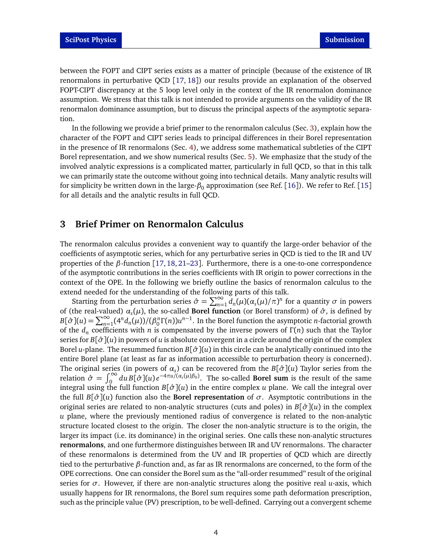between the FOPT and CIPT series exists as a matter of principle (because of the existence of IR renormalons in perturbative QCD [[17,](#page-12-11) [18](#page-12-12)]) our results provide an explanation of the observed FOPT-CIPT discrepancy at the 5 loop level only in the context of the IR renormalon dominance assumption. We stress that this talk is not intended to provide arguments on the validity of the IR renormalon dominance assumption, but to discuss the principal aspects of the asymptotic separation.

In the following we provide a brief primer to the renormalon calculus (Sec. [3\)](#page-3-0), explain how the character of the FOPT and CIPT series leads to principal differences in their Borel representation in the presence of IR renormalons (Sec. [4\)](#page-4-0), we address some mathematical subtleties of the CIPT Borel representation, and we show numerical results (Sec. [5\)](#page-7-0). We emphasize that the study of the involved analytic expressions is a complicated matter, particularly in full QCD, so that in this talk we can primarily state the outcome without going into technical details. Many analytic results will for simplicity be written down in the large-*β*<sub>0</sub> approximation (see Ref. [[16](#page-12-10)]). We refer to Ref. [[15](#page-12-9)] for all details and the analytic results in full QCD.

# <span id="page-3-0"></span>**3 Brief Primer on Renormalon Calculus**

The renormalon calculus provides a convenient way to quantify the large-order behavior of the coefficients of asymptotic series, which for any perturbative series in QCD is tied to the IR and UV properties of the *β*-function [[17,](#page-12-11) [18,](#page-12-12) [21–](#page-13-0)[23](#page-13-1)]. Furthermore, there is a one-to-one correspondence of the asymptotic contributions in the series coefficients with IR origin to power corrections in the context of the OPE. In the following we briefly outline the basics of renormalon calculus to the extend needed for the understanding of the following parts of this talk.

Starting from the perturbation series  $\hat{\sigma} = \sum_{n=1}^{\infty} d_n(\mu)(\alpha_s(\mu)/\pi)^n$  for a quantity *σ* in powers of (the real-valued) *α<sup>s</sup>* (*µ*), the so-called **Borel function** (or Borel transform) of *σ*ˆ , is defined by  $B[\hat{\sigma}](u) = \sum_{n=1}^{\infty} (4^n d_n(\mu)) / (\beta_0^n \Gamma(n)) u^{n-1}$ . In the Borel function the asymptotic *n*-factorial growth of the *d<sup>n</sup>* coefficients with *n* is compensated by the inverse powers of *Γ* (*n*) such that the Taylor series for *B*[*σ*ˆ ](*u*) in powers of *u* is absolute convergent in a circle around the origin of the complex Borel *u*-plane. The resummed function *B*[*σ*ˆ ](*u*) in this circle can be analytically continued into the entire Borel plane (at least as far as information accessible to perturbation theory is concerned). The original series (in powers of  $\alpha_s$ ) can be recovered from the  $B[\hat{\sigma}](u)$  Taylor series from the relation  $\hat{\sigma} = \int_0^\infty du B[\hat{\sigma}](u) e^{-4\pi u/(a_s(\mu)\beta_0)}$ . The so-called **Borel sum** is the result of the same integral using the full function  $B[\hat{\sigma}](u)$  in the entire complex *u* plane. We call the integral over the full  $B[\hat{\sigma}](u)$  function also the **Borel representation** of  $\sigma$ . Asymptotic contributions in the original series are related to non-analytic structures (cuts and poles) in *B*[*σ*ˆ ](*u*) in the complex *u* plane, where the previously mentioned radius of convergence is related to the non-analytic structure located closest to the origin. The closer the non-analytic structure is to the origin, the larger its impact (i.e. its dominance) in the original series. One calls these non-analytic structures **renormalons**, and one furthermore distinguishes between IR and UV renormalons. The character of these renormalons is determined from the UV and IR properties of QCD which are directly tied to the perturbative *β*-function and, as far as IR renormalons are concerned, to the form of the OPE corrections. One can consider the Borel sum as the "all-order resummed" result of the original series for *σ*. However, if there are non-analytic structures along the positive real *u*-axis, which usually happens for IR renormalons, the Borel sum requires some path deformation prescription, such as the principle value (PV) prescription, to be well-defined. Carrying out a convergent scheme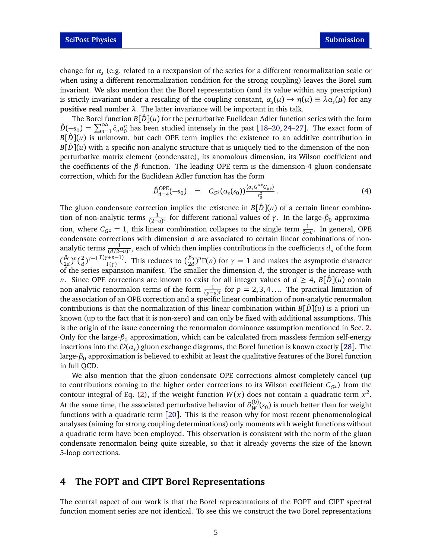change for *α<sup>s</sup>* (e.g. related to a reexpansion of the series for a different renormalization scale or when using a different renormalization condition for the strong coupling) leaves the Borel sum invariant. We also mention that the Borel representation (and its value within any prescription) is strictly invariant under a rescaling of the coupling constant,  $\alpha_s(\mu) \to \eta(\mu) \equiv \lambda \alpha_s(\mu)$  for any **positive real** number *λ*. The latter invariance will be important in this talk.

The Borel function  $B[\hat{D}](u)$  for the perturbative Euclidean Adler function series with the form  $\hat{D}(-s_0) = \sum_{n=1}^{\infty} \bar{c}_n a_0^n$  has been studied intensely in the past [[18](#page-12-12)[–20,](#page-12-14) [24–](#page-13-2)[27](#page-13-3)]. The exact form of  $B[\hat{D}](u)$  is unknown, but each OPE term implies the existence to an additive contribution in  $B[\hat{D}](u)$  with a specific non-analytic structure that is uniquely tied to the dimension of the nonperturbative matrix element (condensate), its anomalous dimension, its Wilson coefficient and the coefficients of the *β*-function. The leading OPE term is the dimension-4 gluon condensate correction, which for the Euclidean Adler function has the form

<span id="page-4-1"></span>
$$
\hat{D}_{d=4}^{\text{OPE}}(-s_0) = C_{G^2}(\alpha_s(s_0))^{\frac{\langle \alpha_s G^{\mu\nu} G_{\mu\nu}\rangle}{s_0^2}}.
$$
\n(4)

The gluon condensate correction implies the existence in  $B[\hat{D}](u)$  of a certain linear combination of non-analytic terms  $\frac{1}{(2-u)^{\gamma}}$  for different rational values of *γ*. In the large- $\beta_0$  approximation, where  $C_{G^2} = 1$ , this linear combination collapses to the single term  $\frac{1}{2-u}$ . In general, OPE condensate corrections with dimension *d* are associated to certain linear combinations of nonanalytic terms  $\frac{1}{(d/2-u)^{\gamma}}$ , each of which then implies contributions in the coefficients  $d_n$  of the form  $(\frac{\beta_0}{2d}$  $\frac{\beta_0}{2d}$ )<sup>n</sup>( $\frac{2}{d}$ *d* ) *γ*−1 *Γ* (*γ*+*n*−1) *<sup>(+n-1)</sup>*. This reduces to  $\left(\frac{\beta_0}{2d}\right)$  $\frac{\beta_0}{2d}$ <sup>n</sup> Γ(*n*) for  $\gamma = 1$  and makes the asymptotic character of the series expansion manifest. The smaller the dimension *d*, the stronger is the increase with *n*. Since OPE corrections are known to exist for all integer values of  $d \geq 4$ ,  $B[\hat{D}](u)$  contain non-analytic renormalon terms of the form  $\frac{1}{(p-u)^{\gamma}}$  for  $p = 2, 3, 4, ...$  The practical limitation of the association of an OPE correction and a specific linear combination of non-analytic renormalon contributions is that the normalization of this linear combination within  $B[D](u)$  is a priori unknown (up to the fact that it is non-zero) and can only be fixed with additional assumptions. This is the origin of the issue concerning the renormalon dominance assumption mentioned in Sec. [2.](#page-2-0) Only for the large-*β*<sup>0</sup> approximation, which can be calculated from massless fermion self-energy insertions into the  ${\cal O}(\alpha_s)$  gluon exchange diagrams, the Borel function is known exactly [[28](#page-13-4)]. The large-*β*<sup>0</sup> approximation is believed to exhibit at least the qualitative features of the Borel function in full QCD.

We also mention that the gluon condensate OPE corrections almost completely cancel (up to contributions coming to the higher order corrections to its Wilson coefficient  $C_{G2}$ ) from the contour integral of Eq. [\(2\)](#page-1-2), if the weight function  $W(x)$  does not contain a quadratic term  $x^2$ . At the same time, the associated perturbative behavior of  $\delta^{(0)}_W(s_0)$  is much better than for weight functions with a quadratic term [[20](#page-12-14)]. This is the reason why for most recent phenomenological analyses (aiming for strong coupling determinations) only moments with weight functions without a quadratic term have been employed. This observation is consistent with the norm of the gluon condensate renormalon being quite sizeable, so that it already governs the size of the known 5-loop corrections.

### <span id="page-4-0"></span>**4 The FOPT and CIPT Borel Representations**

The central aspect of our work is that the Borel representations of the FOPT and CIPT spectral function moment series are not identical. To see this we construct the two Borel representations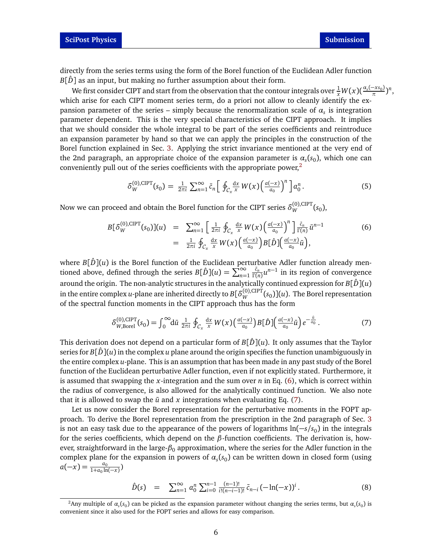directly from the series terms using the form of the Borel function of the Euclidean Adler function  $B[\hat{D}]$  as an input, but making no further assumption about their form.

We first consider CIPT and start from the observation that the contour integrals over  $\frac{1}{x}W(x)$ ( $\frac{\alpha_s(-xs_0)}{\pi}$ *π* ) *n* , which arise for each CIPT moment series term, do a priori not allow to cleanly identify the expansion parameter of the series – simply because the renormalization scale of  $\alpha_s$  is integration parameter dependent. This is the very special characteristics of the CIPT approach. It implies that we should consider the whole integral to be part of the series coefficients and reintroduce an expansion parameter by hand so that we can apply the principles in the construction of the Borel function explained in Sec. [3.](#page-3-0) Applying the strict invariance mentioned at the very end of the 2nd paragraph, an appropriate choice of the expansion parameter is  $\alpha_s(s_0)$ , which one can conveniently pull out of the series coefficients with the appropriate power.<sup>[2](#page-5-0)</sup>

<span id="page-5-3"></span>
$$
\delta_W^{(0),\text{CIFT}}(s_0) = \frac{1}{2\pi i} \sum_{n=1}^{\infty} \bar{c}_n \left[ \oint_{\mathcal{C}_x} \frac{dx}{x} W(x) \left( \frac{a(-x)}{a_0} \right)^n \right] a_0^n. \tag{5}
$$

Now we can proceed and obtain the Borel function for the CIPT series  $\delta_W^{(0),\text{CIPT}}(s_0)$ ,

<span id="page-5-1"></span>
$$
B[\delta_W^{(0),\text{CIFT}}(s_0)](u) = \sum_{n=1}^{\infty} \left[ \frac{1}{2\pi i} \oint_{\mathcal{C}_x} \frac{dx}{x} W(x) \left( \frac{a(-x)}{a_0} \right)^n \right] \frac{\bar{c}_n}{\Gamma(n)} \bar{u}^{n-1}
$$
  

$$
= \frac{1}{2\pi i} \oint_{\mathcal{C}_x} \frac{dx}{x} W(x) \left( \frac{a(-x)}{a_0} \right) B[\hat{D}] \left( \frac{a(-x)}{a_0} \bar{u} \right), \tag{6}
$$

where  $B[\hat{D}](u)$  is the Borel function of the Euclidean perturbative Adler function already mentioned above, defined through the series  $B[\hat{D}](u) = \sum_{n=1}^{\infty}$ ¯*cn*  $\frac{\bar{c}_n}{\Gamma(n)}u^{n-1}$  in its region of convergence around the origin. The non-analytic structures in the analytically continued expression for  $B[\hat{D}](u)$ in the entire complex *u*-plane are inherited directly to  $B[\delta_W^{(0),\text{CIPT}}(s_0)](u)$ . The Borel representation of the spectral function moments in the CIPT approach thus has the form

<span id="page-5-2"></span>
$$
\delta_{W,\text{Borel}}^{(0),\text{CIFT}}(s_0) = \int_0^\infty d\bar{u} \; \frac{1}{2\pi i} \; \oint_{\mathcal{C}_x} \frac{dx}{x} \, W(x) \left( \frac{a(-x)}{a_0} \right) B[\hat{D}] \left( \frac{a(-x)}{a_0} \bar{u} \right) e^{-\frac{\bar{u}}{a_0}} \,. \tag{7}
$$

This derivation does not depend on a particular form of  $B[\hat{D}](u)$ . It only assumes that the Taylor series for  $B[\hat{D}](u)$  in the complex *u* plane around the origin specifies the function unambiguously in the entire complex *u*-plane. This is an assumption that has been made in any past study of the Borel function of the Euclidean perturbative Adler function, even if not explicitly stated. Furthermore, it is assumed that swapping the *x*-integration and the sum over *n* in Eq. [\(6\)](#page-5-1), which is correct within the radius of convergence, is also allowed for the analytically continued function. We also note that it is allowed to swap the  $\bar{u}$  and  $x$  integrations when evaluating Eq. [\(7\)](#page-5-2).

Let us now consider the Borel representation for the perturbative moments in the FOPT approach. To derive the Borel representation from the prescription in the 2nd paragraph of Sec. [3](#page-3-0) is not an easy task due to the appearance of the powers of logarithms ln(−*s/s*<sup>0</sup> ) in the integrals for the series coefficients, which depend on the *β*-function coefficients. The derivation is, however, straightforward in the large- $\beta_0$  approximation, where the series for the Adler function in the complex plane for the expansion in powers of  $\alpha_s(s_0)$  can be written down in closed form (using  $a(-x) = \frac{a_0}{1 + a_0 \ln(-x)}$ 

$$
\hat{D}(s) = \sum_{n=1}^{\infty} a_0^n \sum_{i=0}^{n-1} \frac{(n-1)!}{i!(n-i-1)!} \bar{c}_{n-i} (-\ln(-x))^i.
$$
 (8)

<span id="page-5-0"></span> $^2$ Any multiple of  $\alpha_s(s_0)$  can be picked as the expansion parameter without changing the series terms, but  $\alpha_s(s_0)$  is convenient since it also used for the FOPT series and allows for easy comparison.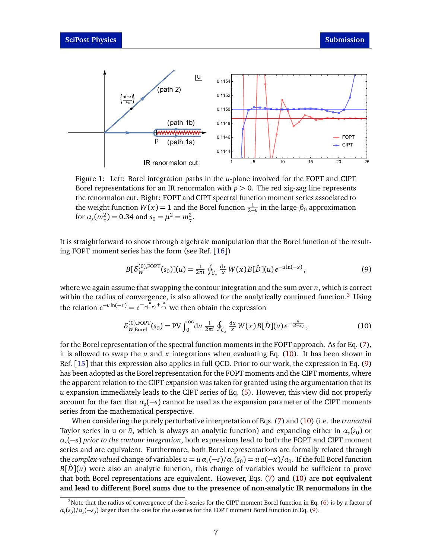<span id="page-6-3"></span>

Figure 1: Left: Borel integration paths in the *u*-plane involved for the FOPT and CIPT Borel representations for an IR renormalon with  $p > 0$ . The red zig-zag line represents the renormalon cut. Right: FOPT and CIPT spectral function moment series associated to the weight function  $W(x) = 1$  and the Borel function  $\frac{1}{2-u}$  in the large- $\beta_0$  approximation for  $\alpha_s(m_\tau^2) = 0.34$  and  $s_0 = \mu^2 = m_\tau^2$ .

It is straightforward to show through algebraic manipulation that the Borel function of the resulting FOPT moment series has the form (see Ref. [[16](#page-12-10)])

<span id="page-6-2"></span>
$$
B[\delta_W^{(0),\text{FOPT}}(s_0)](u) = \frac{1}{2\pi i} \oint_{\mathcal{C}_x} \frac{dx}{x} W(x) B[\hat{D}](u) e^{-u \ln(-x)}, \tag{9}
$$

where we again assume that swapping the contour integration and the sum over *n*, which is correct within the radius of convergence, is also allowed for the analytically continued function.<sup>[3](#page-6-0)</sup> Using the relation  $e^{-u \ln(-x)} = e^{-\frac{u}{a(-x)} + \frac{u}{a_0}}$  we then obtain the expression

<span id="page-6-1"></span>
$$
\delta_{W,\text{Borel}}^{(0),\text{FOPT}}(s_0) = \text{PV} \int_0^\infty du \; \frac{1}{2\pi i} \oint_{\mathcal{C}_x} \frac{dx}{x} W(x) B[\hat{D}](u) e^{-\frac{u}{a(-x)}}, \tag{10}
$$

for the Borel representation of the spectral function moments in the FOPT approach. As for Eq. [\(7\)](#page-5-2), it is allowed to swap the *u* and *x* integrations when evaluating Eq. [\(10\)](#page-6-1). It has been shown in Ref. [[15](#page-12-9)] that this expression also applies in full QCD. Prior to our work, the expression in Eq. [\(9\)](#page-6-2) has been adopted as the Borel representation for the FOPT moments and the CIPT moments, where the apparent relation to the CIPT expansion was taken for granted using the argumentation that its *u* expansion immediately leads to the CIPT series of Eq. [\(5\)](#page-5-3). However, this view did not properly account for the fact that *α<sup>s</sup>* (−*s*) cannot be used as the expansion parameter of the CIPT moments series from the mathematical perspective.

When considering the purely perturbative interpretation of Eqs. [\(7\)](#page-5-2) and [\(10\)](#page-6-1) (i.e. the *truncated* Taylor series in u or  $\bar{u}$ , which is always an analytic function) and expanding either in  $\alpha_s(s_0)$  or *αs* (−*s*) *prior to the contour integration*, both expressions lead to both the FOPT and CIPT moment series and are equivalent. Furthermore, both Borel representations are formally related through  $\int$  the *complex-valued* change of variables  $u = \bar{u} \alpha_s(-s)/\alpha_s(s_0) = \bar{u} \, a(-x)/a_0$ . If the full Borel function  $B[\hat{D}](u)$  were also an analytic function, this change of variables would be sufficient to prove that both Borel representations are equivalent. However, Eqs. [\(7\)](#page-5-2) and [\(10\)](#page-6-1) are **not equivalent and lead to different Borel sums due to the presence of non-analytic IR renormalons in the**

<span id="page-6-0"></span><sup>&</sup>lt;sup>3</sup>Note that the radius of convergence of the  $\bar{u}$ -series for the CIPT moment Borel function in Eq. [\(6\)](#page-5-1) is by a factor of  $\alpha_s(s_0)/\alpha_s(-s_0)$  larger than the one for the *u*-series for the FOPT moment Borel function in Eq. [\(9\)](#page-6-2).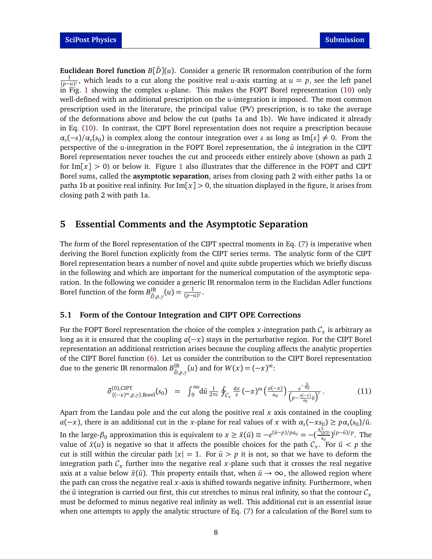**Euclidean Borel function**  $B[\hat{D}](u)$ . Consider a generic IR renormalon contribution of the form  $\frac{1}{(p-u)^{\gamma}}$ , which leads to a cut along the positive real *u*-axis starting at *u* = *p*, see the left panel in Fig. [1](#page-6-3) showing the complex *u*-plane. This makes the FOPT Borel representation [\(10\)](#page-6-1) only well-defined with an additional prescription on the *u*-integration is imposed. The most common prescription used in the literature, the principal value (PV) prescription, is to take the average of the deformations above and below the cut (paths 1a and 1b). We have indicated it already in Eq. [\(10\)](#page-6-1). In contrast, the CIPT Borel representation does not require a prescription because  $\alpha_s(-s)/\alpha_s(s_0)$  is complex along the contour integration over *s* as long as Im[*s*]  $\neq$  0. From the perspective of the *u*-integration in the FOPT Borel representation, the  $\bar{u}$  integration in the CIPT Borel representation never touches the cut and proceeds either entirely above (shown as path 2 for Im $[x] > 0$ ) or below it. Figure [1](#page-6-3) also illustrates that the difference in the FOPT and CIPT Borel sums, called the **asymptotic separation**, arises from closing path 2 with either paths 1a or paths 1b at positive real infinity. For  $Im[x] > 0$ , the situation displayed in the figure, it arises from closing path 2 with path 1a.

## <span id="page-7-0"></span>**5 Essential Comments and the Asymptotic Separation**

The form of the Borel representation of the CIPT spectral moments in Eq. [\(7\)](#page-5-2) is imperative when deriving the Borel function explicitly from the CIPT series terms. The analytic form of the CIPT Borel representation bears a number of novel and quite subtle properties which we briefly discuss in the following and which are important for the numerical computation of the asymptotic separation. In the following we consider a generic IR renormalon term in the Euclidan Adler functions Borel function of the form  $B^{\text{IR}}_{\hat{p}}$  $\lim_{\hat{D},p,\gamma}(u) = \frac{1}{(p-u)^{\gamma}}.$ 

#### <span id="page-7-1"></span>**5.1 Form of the Contour Integration and CIPT OPE Corrections**

For the FOPT Borel representation the choice of the complex  $x$ -integration path  $\mathcal{C}_x$  is arbitrary as long as it is ensured that the coupling *a*(−*x*) stays in the perturbative region. For the CIPT Borel representation an additional restriction arises because the coupling affects the analytic properties of the CIPT Borel function [\(6\)](#page-5-1). Let us consider the contribution to the CIPT Borel representation due to the generic IR renormalon  $B^{\text{IR}}_{\hat{n}}$  $D_{\hat{D},p,\gamma}(u)$  and for  $W(x) = (-x)^m$ :

$$
\delta_{\{(-x)^m, p, \gamma\}, \text{Borel}}^{(0), \text{CIFT}}(s_0) = \int_0^\infty \mathrm{d}\bar{u} \, \tfrac{1}{2\pi i} \oint_{\mathcal{C}_x} \frac{\mathrm{d}x}{x} \, (-x)^m \left( \frac{a(-x)}{a_0} \right) \frac{e^{-\frac{\bar{u}}{a_0}}}{\left( p - \frac{a(-x)}{a_0} \bar{u} \right)^{\gamma}} \,. \tag{11}
$$

Apart from the Landau pole and the cut along the positive real *x* axis contained in the coupling *a*(*−x*), there is an additional cut in the *x*-plane for real values of *x* with  $\alpha_s(-xs_0) \geq p\alpha_s(s_0)/\bar{u}$ . In the large-β<sub>0</sub> approximation this is equivalent to  $x ≥ \tilde{x}(\bar{u}) ≡ -e^{(\bar{u}-p)/pa_0} = -(\frac{\Lambda_{\text{QCD}}^2}{s_0})^{(p-\bar{u})/p}$ . The value of  $\bar{x}(u)$  is negative so that it affects the possible choices for the path  $C_x$ . For  $\bar{u} < p$  the cut is still within the circular path  $|x| = 1$ . For  $\bar{u} > p$  it is not, so that we have to deform the integration path  $\mathcal{C}_x$  further into the negative real  $x$ -plane such that it crosses the real negative axis at a value below  $\tilde{x}(\bar{u})$ . This property entails that, when  $\bar{u} \to \infty$ , the allowed region where the path can cross the negative real *x*-axis is shifted towards negative infinity. Furthermore, when the  $\bar{u}$  integration is carried out first, this cut stretches to minus real infinity, so that the contour  $\mathcal{C}_x$ must be deformed to minus negative real infinity as well. This additional cut is an essential issue when one attempts to apply the analytic structure of Eq. [\(7\)](#page-5-2) for a calculation of the Borel sum to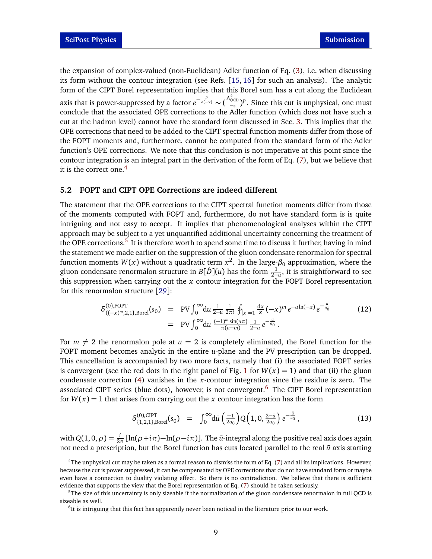the expansion of complex-valued (non-Euclidean) Adler function of Eq. [\(3\)](#page-2-2), i.e. when discussing its form without the contour integration (see Refs. [[15,](#page-12-9) [16](#page-12-10)] for such an analysis). The analytic form of the CIPT Borel representation implies that this Borel sum has a cut along the Euclidean axis that is power-suppressed by a factor  $e^{-\frac{p}{a(-x)}} \sim (\frac{\Lambda_{QCD}^2}{-s})^p$ . Since this cut is unphysical, one must conclude that the associated OPE corrections to the Adler function (which does not have such a cut at the hadron level) cannot have the standard form discussed in Sec. [3.](#page-3-0) This implies that the OPE corrections that need to be added to the CIPT spectral function moments differ from those of the FOPT moments and, furthermore, cannot be computed from the standard form of the Adler function's OPE corrections. We note that this conclusion is not imperative at this point since the contour integration is an integral part in the derivation of the form of Eq. [\(7\)](#page-5-2), but we believe that it is the correct one.<sup>[4](#page-8-1)</sup>

### <span id="page-8-0"></span>**5.2 FOPT and CIPT OPE Corrections are indeed different**

The statement that the OPE corrections to the CIPT spectral function moments differ from those of the moments computed with FOPT and, furthermore, do not have standard form is is quite intriguing and not easy to accept. It implies that phenomenological analyses within the CIPT approach may be subject to a yet unquantified additional uncertainty concerning the treatment of the OPE corrections.<sup>[5](#page-8-2)</sup> It is therefore worth to spend some time to discuss it further, having in mind the statement we made earlier on the suppression of the gluon condensate renormalon for spectral function moments  $W(x)$  without a quadratic term  $x^2$ . In the large- $\beta_0$  approximation, where the gluon condensate renormalon structure in  $B[\hat{D}](u)$  has the form  $\frac{1}{2-u}$ , it is straightforward to see this suppression when carrying out the *x* contour integration for the FOPT Borel representation for this renormalon structure [[29](#page-13-5)]:

<span id="page-8-4"></span>
$$
\delta_{\{(-x)^m,2,1\},\text{Borel}}^{(0),\text{FOPT}}(s_0) = \text{PV} \int_0^\infty du \, \frac{1}{2-u} \frac{1}{2\pi i} \oint_{|x|=1} \frac{dx}{x} (-x)^m e^{-u \ln(-x)} e^{-\frac{u}{a_0}}
$$
\n
$$
= \text{PV} \int_0^\infty du \, \frac{(-1)^m \sin(u\pi)}{\pi(u-m)} \frac{1}{2-u} e^{-\frac{u}{a_0}}.
$$
\n(12)

For  $m \neq 2$  the renormalon pole at  $u = 2$  is completely eliminated, the Borel function for the FOPT moment becomes analytic in the entire *u*-plane and the PV prescription can be dropped. This cancellation is accompanied by two more facts, namely that (i) the associated FOPT series is convergent (see the red dots in the right panel of Fig. [1](#page-6-3) for  $W(x) = 1$ ) and that (ii) the gluon condensate correction [\(4\)](#page-4-1) vanishes in the *x*-contour integration since the residue is zero. The associated CIPT series (blue dots), however, is not convergent.<sup>[6](#page-8-3)</sup> The CIPT Borel representation for  $W(x) = 1$  that arises from carrying out the *x* contour integration has the form

<span id="page-8-5"></span>
$$
\delta_{\{1,2,1\},Borel}^{(0),CIPT}(s_0) = \int_0^\infty d\bar{u} \left(\frac{-1}{2a_0}\right) Q\left(1,0,\frac{2-\bar{u}}{2a_0}\right) e^{-\frac{\bar{u}}{a_0}},\tag{13}
$$

with  $Q(1, 0, \rho) = \frac{i}{2\pi} [\ln(\rho + i\pi) - \ln(\rho - i\pi)]$ . The *ū*-integral along the positive real axis does again not need a prescription, but the Borel function has cuts located parallel to the real  $\bar{u}$  axis starting

<span id="page-8-1"></span> $4$ The unphysical cut may be taken as a formal reason to dismiss the form of Eq. [\(7\)](#page-5-2) and all its implications. However, because the cut is power suppressed, it can be compensated by OPE corrections that do not have standard form or maybe even have a connection to duality violating effect. So there is no contradiction. We believe that there is sufficient evidence that supports the view that the Borel representation of Eq. [\(7\)](#page-5-2) should be taken seriously.

<span id="page-8-2"></span><sup>5</sup>The size of this uncertainty is only sizeable if the normalization of the gluon condensate renormalon in full QCD is sizeable as well.

<span id="page-8-3"></span><sup>&</sup>lt;sup>6</sup>It is intriguing that this fact has apparently never been noticed in the literature prior to our work.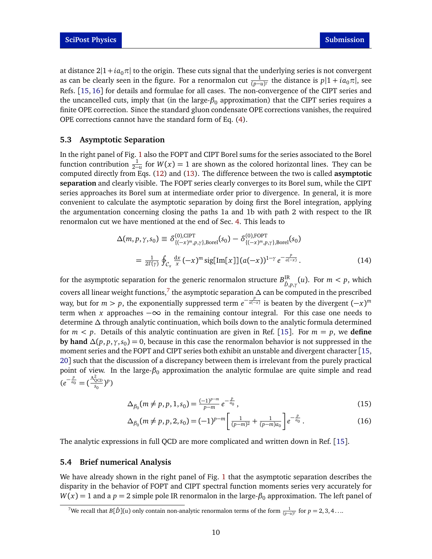at distance  $2|1+i a_0\pi|$  to the origin. These cuts signal that the underlying series is not convergent as can be clearly seen in the figure. For a renormalon cut  $\frac{1}{(p-u)^{\gamma}}$  the distance is  $p|1 + i a_0 \pi|$ , see Refs. [[15,](#page-12-9) [16](#page-12-10)] for details and formulae for all cases. The non-convergence of the CIPT series and the uncancelled cuts, imply that (in the large-β<sub>0</sub> approximation) that the CIPT series requires a finite OPE correction. Since the standard gluon condensate OPE corrections vanishes, the required OPE corrections cannot have the standard form of Eq. [\(4\)](#page-4-1).

#### <span id="page-9-0"></span>**5.3 Asymptotic Separation**

In the right panel of Fig. [1](#page-6-3) also the FOPT and CIPT Borel sums for the series associated to the Borel function contribution  $\frac{1}{2-u}$  for  $W(x) = 1$  are shown as the colored horizontal lines. They can be computed directly from Eqs. [\(12\)](#page-8-4) and [\(13\)](#page-8-5). The difference between the two is called **asymptotic separation** and clearly visible. The FOPT series clearly converges to its Borel sum, while the CIPT series approaches its Borel sum at intermediate order prior to divergence. In general, it is more convenient to calculate the asymptotic separation by doing first the Borel integration, applying the argumentation concerning closing the paths 1a and 1b with path 2 with respect to the IR renormalon cut we have mentioned at the end of Sec. [4.](#page-4-0) This leads to

$$
\Delta(m, p, \gamma, s_0) \equiv \delta_{\{(-x)^m, p, \gamma\}, \text{Borel}}^{(0), \text{CIPT}}(s_0) - \delta_{\{(-x)^m, p, \gamma\}, \text{Borel}}^{(0), \text{FOPT}}(s_0)
$$

$$
= \frac{1}{2\Gamma(\gamma)} \oint_{\mathcal{C}_x} \frac{dx}{x} (-x)^m \text{sig}[\text{Im}[x]] (a(-x))^{1-\gamma} e^{-\frac{p}{a(-x)}}.
$$
(14)

for the asymptotic separation for the generic renormalon structure  $B^{\text{IR}}_{\hat{n}}$  $D_{\hat{D},p,\gamma}^{\text{IR}}(u)$ . For  $m < p$ , which covers all linear weight functions,[7](#page-9-2) the asymptotic separation *∆* can be computed in the prescribed way, but for  $m > p$ , the exponentially suppressed term  $e^{-\frac{p}{a(-x)}}$  is beaten by the divergent  $(-x)^m$ term when *x* approaches −∞ in the remaining contour integral. For this case one needs to determine *∆* through analytic continuation, which boils down to the analytic formula determined for  $m < p$ . Details of this analytic continuation are given in Ref. [[15](#page-12-9)]. For  $m = p$ , we **define by hand** *∆*(*p*, *p*,*γ*,*s*<sup>0</sup> ) = 0, because in this case the renormalon behavior is not suppressed in the moment series and the FOPT and CIPT series both exhibit an unstable and divergent character [[15,](#page-12-9) [20](#page-12-14)] such that the discussion of a discrepancy between them is irrelevant from the purely practical point of view. In the large- $β$ <sub>0</sub> approximation the analytic formulae are quite simple and read  $(e^{-\frac{p}{a_0}} = (\frac{\Lambda_{\text{QCD}}^2}{s_0})^p)$ 

<span id="page-9-3"></span>
$$
\Delta_{\beta_0}(m \neq p, p, 1, s_0) = \frac{(-1)^{p-m}}{p-m} e^{-\frac{p}{a_0}}, \tag{15}
$$

$$
\Delta_{\beta_0}(m \neq p, p, 2, s_0) = (-1)^{p-m} \left[ \frac{1}{(p-m)^2} + \frac{1}{(p-m)a_0} \right] e^{-\frac{p}{a_0}}.
$$
\n(16)

The analytic expressions in full QCD are more complicated and written down in Ref. [[15](#page-12-9)].

#### <span id="page-9-1"></span>**5.4 Brief numerical Analysis**

We have already shown in the right panel of Fig. [1](#page-6-3) that the asymptotic separation describes the disparity in the behavior of FOPT and CIPT spectral function moments series very accurately for  $W(x) = 1$  and a  $p = 2$  simple pole IR renormalon in the large- $\beta_0$  approximation. The left panel of

<span id="page-9-2"></span><sup>&</sup>lt;sup>7</sup>We recall that  $B[\hat{D}](u)$  only contain non-analytic renormalon terms of the form  $\frac{1}{(p-u)^{\gamma}}$  for  $p=2,3,4\ldots$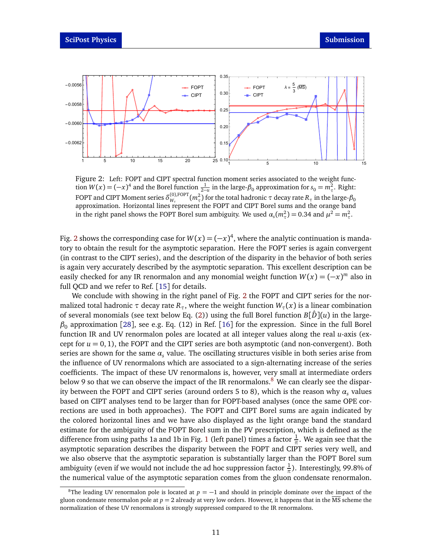<span id="page-10-0"></span>

Figure 2: Left: FOPT and CIPT spectral function moment series associated to the weight function  $W(x) = (-x)^4$  and the Borel function  $\frac{1}{2-\mu}$  in the large- $\beta_0$  approximation for  $s_0 = m_\tau^2$ . Right: FOPT and CIPT Moment series  $\delta^{(0),\text{FOPT}}_{W}$  $w_{\tau}$ <sup>(0),FOPT</sup>( $m_{\tau}^{2}$ ) for the total hadronic  $\tau$  decay rate  $R_{\tau}$  in the large- $\beta_{0}$ approximation. Horizontal lines represent the FOPT and CIPT Borel sums and the orange band in the right panel shows the FOPT Borel sum ambiguity. We used  $\alpha_s(m_\tau^2) = 0.34$  and  $\mu^2 = m_\tau^2$ .

Fig. [2](#page-10-0) shows the corresponding case for  $W(x) = (-x)^4$ , where the analytic continuation is mandatory to obtain the result for the asymptotic separation. Here the FOPT series is again convergent (in contrast to the CIPT series), and the description of the disparity in the behavior of both series is again very accurately described by the asymptotic separation. This excellent description can be easily checked for any IR renormalon and any monomial weight function  $W(x) = (-x)^m$  also in full QCD and we refer to Ref. [[15](#page-12-9)] for details.

We conclude with showing in the right panel of Fig. [2](#page-10-0) the FOPT and CIPT series for the normalized total hadronic  $\tau$  decay rate  $R_{\tau}$ , where the weight function  $W_{\tau}(x)$  is a linear combination of several monomials (see text below Eq. [\(2\)](#page-1-2)) using the full Borel function  $B[\hat{D}](u)$  in the large*β*<sup>0</sup> approximation [[28](#page-13-4)], see e.g. Eq. (12) in Ref. [[16](#page-12-10)] for the expression. Since in the full Borel function IR and UV renormalon poles are located at all integer values along the real *u*-axis (except for  $u = 0, 1$ ), the FOPT and the CIPT series are both asymptotic (and non-convergent). Both series are shown for the same  $\alpha_s$  value. The oscillating structures visible in both series arise from the influence of UV renormalons which are associated to a sign-alternating increase of the series coefficients. The impact of these UV renormalons is, however, very small at intermediate orders below 9 so that we can observe the impact of the IR renormalons. $8$  We can clearly see the disparity between the FOPT and CIPT series (around orders 5 to 8), which is the reason why *α<sup>s</sup>* values based on CIPT analyses tend to be larger than for FOPT-based analyses (once the same OPE corrections are used in both approaches). The FOPT and CIPT Borel sums are again indicated by the colored horizontal lines and we have also displayed as the light orange band the standard estimate for the ambiguity of the FOPT Borel sum in the PV prescription, which is defined as the difference from using paths [1](#page-6-3)a and 1b in Fig. 1 (left panel) times a factor  $\frac{1}{\pi}$ . We again see that the asymptotic separation describes the disparity between the FOPT and CIPT series very well, and we also observe that the asymptotic separation is substantially larger than the FOPT Borel sum ambiguity (even if we would not include the ad hoc suppression factor  $\frac{1}{\pi}$ ). Interestingly, 99.8% of the numerical value of the asymptotic separation comes from the gluon condensate renormalon.

<span id="page-10-1"></span><sup>&</sup>lt;sup>8</sup>The leading UV renormalon pole is located at  $p = -1$  and should in principle dominate over the impact of the gluon condensate renormalon pole at  $p = 2$  already at very low orders. However, it happens that in the  $\overline{MS}$  scheme the normalization of these UV renormalons is strongly suppressed compared to the IR renormalons.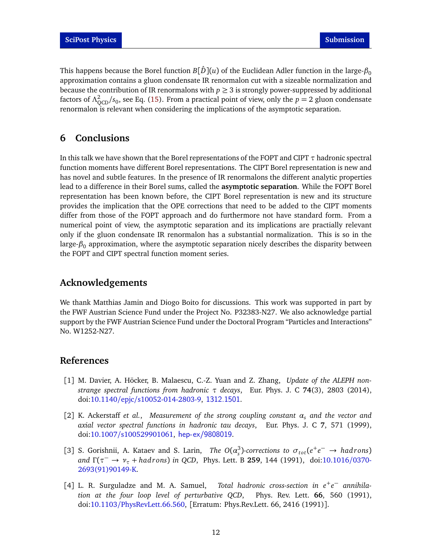This happens because the Borel function  $B[\hat{D}](u)$  of the Euclidean Adler function in the large- $\beta_0$ approximation contains a gluon condensate IR renormalon cut with a sizeable normalization and because the contribution of IR renormalons with  $p \geq 3$  is strongly power-suppressed by additional factors of  $\Lambda_{\text{QCD}}^2/s_0$ , see Eq. [\(15\)](#page-9-3). From a practical point of view, only the  $p = 2$  gluon condensate renormalon is relevant when considering the implications of the asymptotic separation.

# <span id="page-11-0"></span>**6 Conclusions**

In this talk we have shown that the Borel representations of the FOPT and CIPT *τ* hadronic spectral function moments have different Borel representations. The CIPT Borel representation is new and has novel and subtle features. In the presence of IR renormalons the different analytic properties lead to a difference in their Borel sums, called the **asymptotic separation**. While the FOPT Borel representation has been known before, the CIPT Borel representation is new and its structure provides the implication that the OPE corrections that need to be added to the CIPT moments differ from those of the FOPT approach and do furthermore not have standard form. From a numerical point of view, the asymptotic separation and its implications are practially relevant only if the gluon condensate IR renormalon has a substantial normalization. This is so in the large-*β*<sup>0</sup> approximation, where the asymptotic separation nicely describes the disparity between the FOPT and CIPT spectral function moment series.

# **Acknowledgements**

We thank Matthias Jamin and Diogo Boito for discussions. This work was supported in part by the FWF Austrian Science Fund under the Project No. P32383-N27. We also acknowledge partial support by the FWF Austrian Science Fund under the Doctoral Program "Particles and Interactions" No. W1252-N27.

# **References**

- <span id="page-11-1"></span>[1] M. Davier, A. Höcker, B. Malaescu, C.-Z. Yuan and Z. Zhang, *Update of the ALEPH nonstrange spectral functions from hadronic τ decays*, Eur. Phys. J. C **74**(3), 2803 (2014), doi:10.1140/epjc/[s10052-014-2803-9,](https://doi.org/10.1140/epjc/s10052-014-2803-9) <1312.1501>.
- <span id="page-11-2"></span>[2] K. Ackerstaff *et al.*, *Measurement of the strong coupling constant α<sup>s</sup> and the vector and axial vector spectral functions in hadronic tau decays*, Eur. Phys. J. C **7**, 571 (1999), doi:10.1007/[s100529901061,](https://doi.org/10.1007/s100529901061) <hep-ex/9808019>.
- <span id="page-11-3"></span>[3] S. Gorishnii, A. Kataev and S. Larin, *The O*( $\alpha_s^3$ )-corrections to  $\sigma_{tot}(e^+e^- \to hadrons)$ *and* Γ(τ<sup>−</sup> → *ν*<sub>τ</sub> + *hadrons*) *in QCD*, Phys. Lett. B **259**, 144 (1991), doi[:10.1016](https://doi.org/10.1016/0370-2693(91)90149-K)/0370-[2693\(91\)90149-K.](https://doi.org/10.1016/0370-2693(91)90149-K)
- [4] L. R. Surguladze and M. A. Samuel, Total hadronic cross-section in  $e^+e^-$  annihila*tion at the four loop level of perturbative QCD*, Phys. Rev. Lett. **66**, 560 (1991), doi:10.1103/[PhysRevLett.66.560,](https://doi.org/10.1103/PhysRevLett.66.560) [Erratum: Phys.Rev.Lett. 66, 2416 (1991)].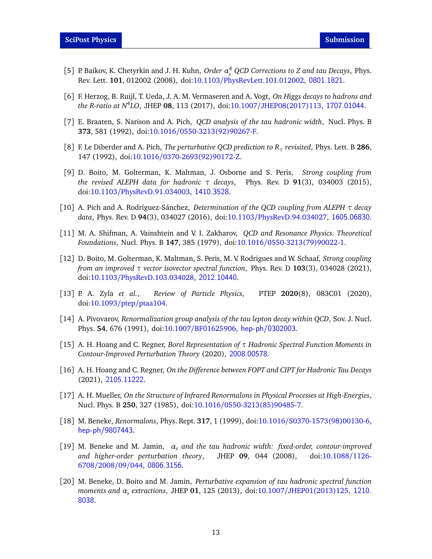- [5] P. Baikov, K. Chetyrkin and J. H. Kuhn, *Order α* 4 *<sup>s</sup> QCD Corrections to Z and tau Decays*, Phys. Rev. Lett. **101**, 012002 (2008), doi:10.1103/[PhysRevLett.101.012002,](https://doi.org/10.1103/PhysRevLett.101.012002) <0801.1821>.
- <span id="page-12-0"></span>[6] F. Herzog, B. Ruijl, T. Ueda, J. A. M. Vermaseren and A. Vogt, *On Higgs decays to hadrons and the R-ratio at N*<sup>4</sup> *LO*, JHEP **08**, 113 (2017), doi:10.1007/[JHEP08\(2017\)113,](https://doi.org/10.1007/JHEP08(2017)113) <1707.01044>.
- <span id="page-12-1"></span>[7] E. Braaten, S. Narison and A. Pich, *QCD analysis of the tau hadronic width*, Nucl. Phys. B **373**, 581 (1992), doi:10.1016/[0550-3213\(92\)90267-F.](https://doi.org/10.1016/0550-3213(92)90267-F)
- <span id="page-12-7"></span>[8] F. Le Diberder and A. Pich, *The perturbative QCD prediction to R<sup>τ</sup> revisited*, Phys. Lett. B **286**, 147 (1992), doi:10.1016/[0370-2693\(92\)90172-Z.](https://doi.org/10.1016/0370-2693(92)90172-Z)
- <span id="page-12-4"></span>[9] D. Boito, M. Golterman, K. Maltman, J. Osborne and S. Peris, *Strong coupling from the revised ALEPH data for hadronic τ decays*, Phys. Rev. D **91**(3), 034003 (2015), doi:10.1103/[PhysRevD.91.034003,](https://doi.org/10.1103/PhysRevD.91.034003) <1410.3528>.
- <span id="page-12-2"></span>[10] A. Pich and A. Rodríguez-Sánchez, *Determination of the QCD coupling from ALEPH τ decay data*, Phys. Rev. D **94**(3), 034027 (2016), doi:10.1103/[PhysRevD.94.034027,](https://doi.org/10.1103/PhysRevD.94.034027) <1605.06830>.
- <span id="page-12-3"></span>[11] M. A. Shifman, A. Vainshtein and V. I. Zakharov, *QCD and Resonance Physics. Theoretical Foundations*, Nucl. Phys. B **147**, 385 (1979), doi:10.1016/[0550-3213\(79\)90022-1.](https://doi.org/10.1016/0550-3213(79)90022-1)
- <span id="page-12-5"></span>[12] D. Boito, M. Golterman, K. Maltman, S. Peris, M. V. Rodrigues and W. Schaaf, *Strong coupling from an improved τ vector isovector spectral function*, Phys. Rev. D **103**(3), 034028 (2021), doi:10.1103/[PhysRevD.103.034028,](https://doi.org/10.1103/PhysRevD.103.034028) <2012.10440>.
- <span id="page-12-6"></span>[13] P. A. Zyla *et al.*, *Review of Particle Physics*, PTEP **2020**(8), 083C01 (2020), doi[:10.1093](https://doi.org/10.1093/ptep/ptaa104)/ptep/ptaa104.
- <span id="page-12-8"></span>[14] A. Pivovarov, *Renormalization group analysis of the tau lepton decay within QCD*, Sov. J. Nucl. Phys. **54**, 676 (1991), doi:10.1007/[BF01625906,](https://doi.org/10.1007/BF01625906) <hep-ph/0302003>.
- <span id="page-12-9"></span>[15] A. H. Hoang and C. Regner, *Borel Representation of τ Hadronic Spectral Function Moments in Contour-Improved Perturbation Theory* (2020), <2008.00578>.
- <span id="page-12-10"></span>[16] A. H. Hoang and C. Regner, *On the Difference between FOPT and CIPT for Hadronic Tau Decays* (2021), <2105.11222>.
- <span id="page-12-11"></span>[17] A. H. Mueller, *On the Structure of Infrared Renormalons in Physical Processes at High-Energies*, Nucl. Phys. B **250**, 327 (1985), doi:10.1016/[0550-3213\(85\)90485-7.](https://doi.org/10.1016/0550-3213(85)90485-7)
- <span id="page-12-12"></span>[18] M. Beneke, *Renormalons*, Phys. Rept. **317**, 1 (1999), doi:10.1016/[S0370-1573\(98\)00130-6,](https://doi.org/10.1016/S0370-1573(98)00130-6) <hep-ph/9807443>.
- <span id="page-12-13"></span>[19] M. Beneke and M. Jamin, *α<sup>s</sup> and the tau hadronic width: fixed-order, contour-improved and higher-order perturbation theory*, JHEP **09**, 044 (2008), doi[:10.1088](https://doi.org/10.1088/1126-6708/2008/09/044)/1126- [6708](https://doi.org/10.1088/1126-6708/2008/09/044)/2008/09/044, <0806.3156>.
- <span id="page-12-14"></span>[20] M. Beneke, D. Boito and M. Jamin, *Perturbative expansion of tau hadronic spectral function moments and α<sup>s</sup> extractions*, JHEP **01**, 125 (2013), doi:10.1007/[JHEP01\(2013\)125,](https://doi.org/10.1007/JHEP01(2013)125) [1210.](1210.8038) [8038](1210.8038).